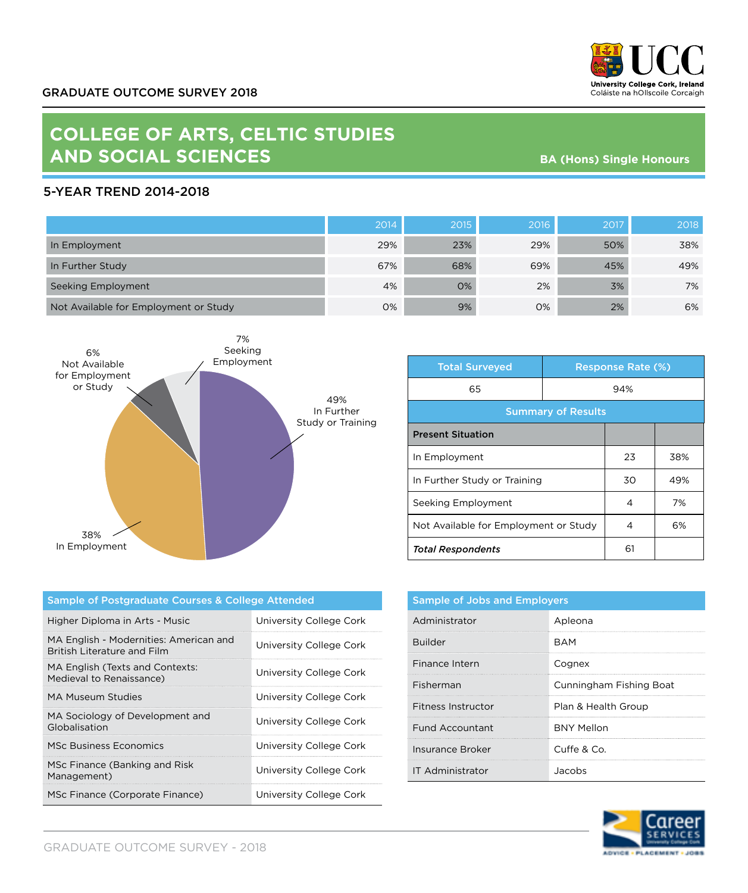

## **COLLEGE OF ARTS, CELTIC STUDIES AND SOCIAL SCIENCES**

**BA (Hons) Single Honours**

## 5-YEAR TREND 2014-2018

|                                       | 2014 | 2015 | 2016 | 2017 | 2018 |
|---------------------------------------|------|------|------|------|------|
| In Employment                         | 29%  | 23%  | 29%  | 50%  | 38%  |
| In Further Study                      | 67%  | 68%  | 69%  | 45%  | 49%  |
| Seeking Employment                    | 4%   | 0%   | 2%   | 3%   | 7%   |
| Not Available for Employment or Study | 0%   | 9%   | 0%   | 2%   | 6%   |



| <b>Total Surveyed</b>                 |     | <b>Response Rate (%)</b> |     |
|---------------------------------------|-----|--------------------------|-----|
| 65                                    | 94% |                          |     |
| <b>Summary of Results</b>             |     |                          |     |
| <b>Present Situation</b>              |     |                          |     |
| In Employment                         |     | 23                       | 38% |
| In Further Study or Training          |     | 30                       | 49% |
| Seeking Employment                    |     | 4                        | 7%  |
| Not Available for Employment or Study |     | 4                        | 6%  |
| <b>Total Respondents</b>              |     | 61                       |     |

| Sample of Postgraduate Courses & College Attended                            |                         |  |
|------------------------------------------------------------------------------|-------------------------|--|
| Higher Diploma in Arts - Music                                               | University College Cork |  |
| MA English - Modernities: American and<br><b>British Literature and Film</b> | University College Cork |  |
| MA English (Texts and Contexts:<br>Medieval to Renaissance)                  | University College Cork |  |
| MA Museum Studies                                                            | University College Cork |  |
| MA Sociology of Development and<br>Globalisation                             | University College Cork |  |
| MSc Business Economics                                                       | University College Cork |  |
| MSc Finance (Banking and Risk<br>Management)                                 | University College Cork |  |
| MSc Finance (Corporate Finance)                                              | University College Cork |  |

| <b>Sample of Jobs and Employers</b> |                         |  |
|-------------------------------------|-------------------------|--|
| Administrator                       | Apleona                 |  |
| Builder                             | RAM                     |  |
| Finance Intern                      | Cognex                  |  |
| Fisherman                           | Cunningham Fishing Boat |  |
| Fitness Instructor                  | Plan & Health Group     |  |
| <b>Fund Accountant</b>              | <b>BNY Mellon</b>       |  |
| Insurance Broker                    | Cuffe & Co.             |  |
| <b>IT Administrator</b>             | .Jacobs                 |  |